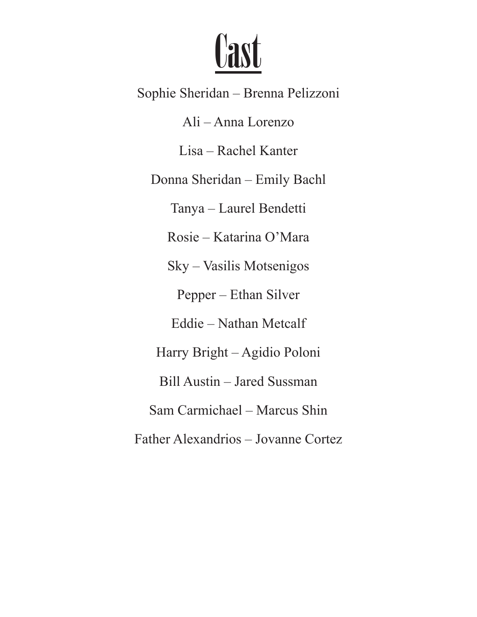

Sophie Sheridan – Brenna Pelizzoni Ali – Anna Lorenzo Lisa – Rachel Kanter Donna Sheridan – Emily Bachl Tanya – Laurel Bendetti Rosie – Katarina O'Mara Sky – Vasilis Motsenigos Pepper – Ethan Silver Eddie – Nathan Metcalf Harry Bright – Agidio Poloni Bill Austin – Jared Sussman Sam Carmichael – Marcus Shin Father Alexandrios – Jovanne Cortez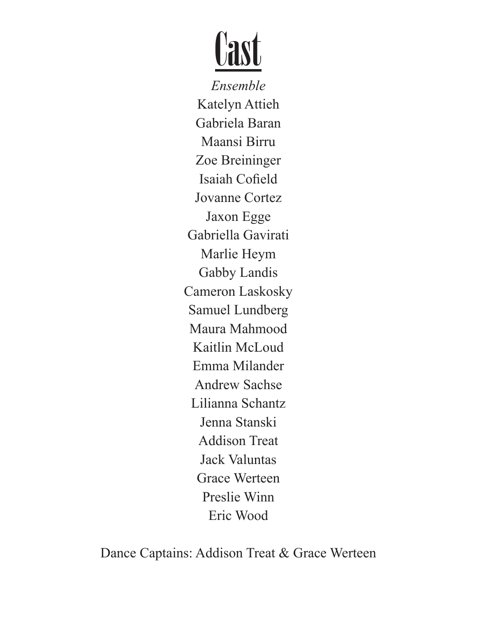

*Ensemble* Katelyn Attieh Gabriela Baran Maansi Birru Zoe Breininger Isaiah Cofield Jovanne Cortez Jaxon Egge Gabriella Gavirati Marlie Heym Gabby Landis Cameron Laskosky Samuel Lundberg Maura Mahmood Kaitlin McLoud Emma Milander Andrew Sachse Lilianna Schantz Jenna Stanski Addison Treat Jack Valuntas Grace Werteen Preslie Winn Eric Wood

Dance Captains: Addison Treat & Grace Werteen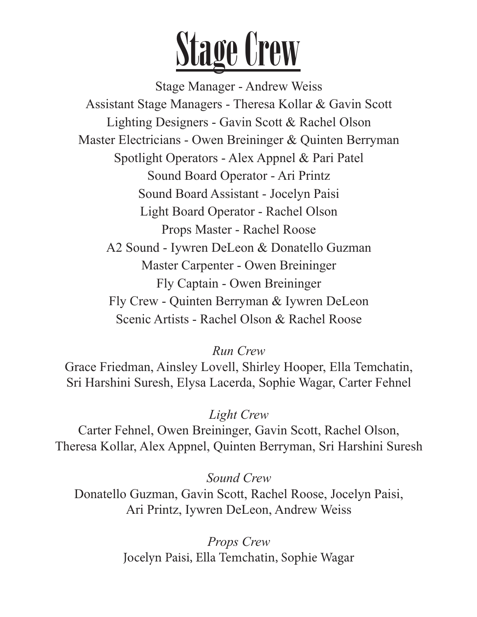

Stage Manager - Andrew Weiss Assistant Stage Managers - Theresa Kollar & Gavin Scott Lighting Designers - Gavin Scott & Rachel Olson Master Electricians - Owen Breininger & Quinten Berryman Spotlight Operators - Alex Appnel & Pari Patel Sound Board Operator - Ari Printz Sound Board Assistant - Jocelyn Paisi Light Board Operator - Rachel Olson Props Master - Rachel Roose A2 Sound - Iywren DeLeon & Donatello Guzman Master Carpenter - Owen Breininger Fly Captain - Owen Breininger Fly Crew - Quinten Berryman & Iywren DeLeon Scenic Artists - Rachel Olson & Rachel Roose

*Run Crew*

Grace Friedman, Ainsley Lovell, Shirley Hooper, Ella Temchatin, Sri Harshini Suresh, Elysa Lacerda, Sophie Wagar, Carter Fehnel

*Light Crew*

Carter Fehnel, Owen Breininger, Gavin Scott, Rachel Olson, Theresa Kollar, Alex Appnel, Quinten Berryman, Sri Harshini Suresh

*Sound Crew*

Donatello Guzman, Gavin Scott, Rachel Roose, Jocelyn Paisi, Ari Printz, Iywren DeLeon, Andrew Weiss

> *Props Crew* Jocelyn Paisi, Ella Temchatin, Sophie Wagar